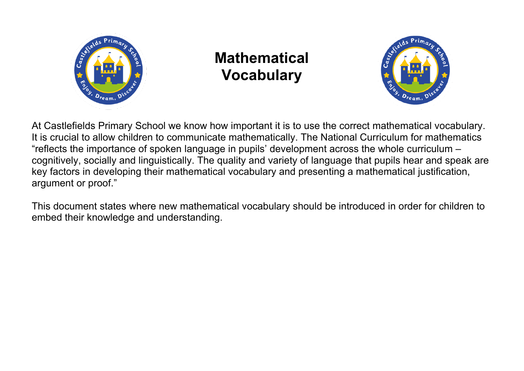

## **Mathematical Vocabulary**



At Castlefields Primary School we know how important it is to use the correct mathematical vocabulary. It is crucial to allow children to communicate mathematically. The National Curriculum for mathematics "reflects the importance of spoken language in pupils' development across the whole curriculum – cognitively, socially and linguistically. The quality and variety of language that pupils hear and speak are key factors in developing their mathematical vocabulary and presenting a mathematical justification, argument or proof."

This document states where new mathematical vocabulary should be introduced in order for children to embed their knowledge and understanding.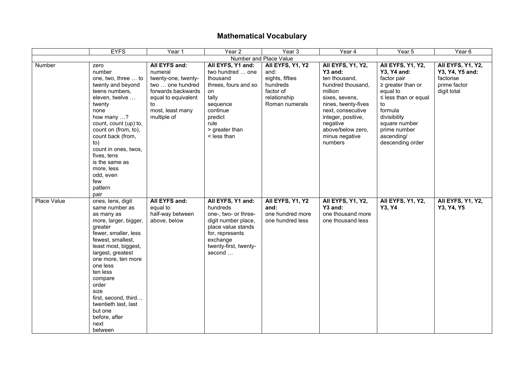## **Mathematical Vocabulary**

|               | <b>EYFS</b>                                                                                                                                                                                                                                                                                                                                              | Year 1                                                                                                                                   | Year 2                                                                                                                                                               | $\overline{Y}$ ear 3                                                               | Year 4                                                                                                                                                                                                     | $\overline{Y}$ ear 5                                                                                                                                                                            | Year 6                                                      |  |  |  |
|---------------|----------------------------------------------------------------------------------------------------------------------------------------------------------------------------------------------------------------------------------------------------------------------------------------------------------------------------------------------------------|------------------------------------------------------------------------------------------------------------------------------------------|----------------------------------------------------------------------------------------------------------------------------------------------------------------------|------------------------------------------------------------------------------------|------------------------------------------------------------------------------------------------------------------------------------------------------------------------------------------------------------|-------------------------------------------------------------------------------------------------------------------------------------------------------------------------------------------------|-------------------------------------------------------------|--|--|--|
|               | Number and Place Value                                                                                                                                                                                                                                                                                                                                   |                                                                                                                                          |                                                                                                                                                                      |                                                                                    |                                                                                                                                                                                                            |                                                                                                                                                                                                 |                                                             |  |  |  |
| <b>Number</b> | zero                                                                                                                                                                                                                                                                                                                                                     | All EYFS and:                                                                                                                            | All EYFS, Y1 and:                                                                                                                                                    | All EYFS, Y1, Y2                                                                   | All EYFS, Y1, Y2,                                                                                                                                                                                          | All EYFS, Y1, Y2,                                                                                                                                                                               | <b>All EYFS, Y1, Y2,</b>                                    |  |  |  |
|               | number<br>one, two, three  to<br>twenty and beyond<br>teens numbers,<br>eleven, twelve<br>twenty<br>none<br>how many ?<br>count, count (up) to,<br>count on (from, to),<br>count back (from,<br>to)<br>count in ones, twos,<br>fives, tens<br>is the same as<br>more, less<br>odd, even<br>few<br>pattern<br>pair                                        | numeral<br>twenty-one, twenty-<br>two  one hundred<br>forwards backwards<br>equal to equivalent<br>to<br>most, least many<br>multiple of | two hundred  one<br>thousand<br>threes, fours and so<br>on<br>tally<br>sequence<br>continue<br>predict<br>rule<br>> greater than<br>< less than                      | and:<br>eights, fifties<br>hundreds<br>factor of<br>relationship<br>Roman numerals | Y3 and:<br>ten thousand,<br>hundred thousand,<br>million<br>sixes, sevens,<br>nines, twenty-fives<br>next, consecutive<br>integer, positive,<br>negative<br>above/below zero,<br>minus negative<br>numbers | Y3, Y4 and:<br>factor pair<br>$\ge$ greater than or<br>equal to<br>$\le$ less than or equal<br>to<br>formula<br>divisibility<br>square number<br>prime number<br>ascending/<br>descending order | Y3, Y4, Y5 and:<br>factorise<br>prime factor<br>digit total |  |  |  |
| Place Value   | ones, tens, digit<br>same number as<br>as many as<br>more, larger, bigger,<br>greater<br>fewer, smaller, less<br>fewest, smallest,<br>least most, biggest,<br>largest, greatest<br>one more, ten more<br>one less<br>ten less<br>compare<br>order<br>size<br>first, second, third<br>twentieth last, last<br>but one<br>before, after<br>next<br>between | All EYFS and:<br>equal to<br>half-way between<br>above, below                                                                            | All EYFS, Y1 and:<br>hundreds<br>one-, two- or three-<br>digit number place,<br>place value stands<br>for, represents<br>exchange<br>twenty-first, twenty-<br>second | All EYFS, Y1, Y2<br>and:<br>one hundred more<br>one hundred less                   | All EYFS, Y1, Y2,<br>Y3 and:<br>one thousand more<br>one thousand less                                                                                                                                     | All EYFS, Y1, Y2,<br>Y3, Y4                                                                                                                                                                     | All EYFS, Y1, Y2,<br>Y3, Y4, Y5                             |  |  |  |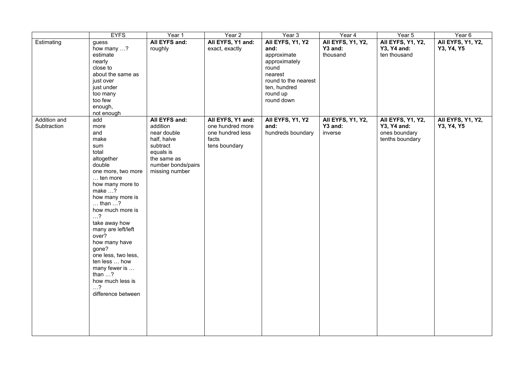|              | <b>EYFS</b>                                | Year 1             | Year 2            | Year 3               | Year 4            | Year 5            | Year 6            |
|--------------|--------------------------------------------|--------------------|-------------------|----------------------|-------------------|-------------------|-------------------|
| Estimating   | guess                                      | All EYFS and:      | All EYFS, Y1 and: | All EYFS, Y1, Y2     | All EYFS, Y1, Y2, | All EYFS, Y1, Y2, | All EYFS, Y1, Y2, |
|              | how many ?                                 | roughly            | exact, exactly    | and:                 | Y3 and:           | Y3, Y4 and:       | Y3, Y4, Y5        |
|              | estimate                                   |                    |                   | approximate          | thousand          | ten thousand      |                   |
|              | nearly                                     |                    |                   | approximately        |                   |                   |                   |
|              | close to                                   |                    |                   | round                |                   |                   |                   |
|              | about the same as                          |                    |                   | nearest              |                   |                   |                   |
|              | just over                                  |                    |                   | round to the nearest |                   |                   |                   |
|              | just under                                 |                    |                   | ten, hundred         |                   |                   |                   |
|              | too many                                   |                    |                   | round up             |                   |                   |                   |
|              | too few                                    |                    |                   | round down           |                   |                   |                   |
|              | enough,                                    |                    |                   |                      |                   |                   |                   |
|              | not enough                                 |                    |                   |                      |                   |                   |                   |
| Addition and | add                                        | All EYFS and:      | All EYFS, Y1 and: | All EYFS, Y1, Y2     | All EYFS, Y1, Y2, | All EYFS, Y1, Y2, | All EYFS, Y1, Y2, |
| Subtraction  | more                                       | addition           | one hundred more  | and:                 | Y3 and:           | Y3, Y4 and:       | Y3, Y4, Y5        |
|              | and                                        | near double        | one hundred less  | hundreds boundary    | inverse           | ones boundary     |                   |
|              | make                                       | half, halve        | facts             |                      |                   | tenths boundary   |                   |
|              | sum                                        | subtract           | tens boundary     |                      |                   |                   |                   |
|              | total                                      | equals is          |                   |                      |                   |                   |                   |
|              | altogether                                 | the same as        |                   |                      |                   |                   |                   |
|              | double                                     | number bonds/pairs |                   |                      |                   |                   |                   |
|              | one more, two more                         | missing number     |                   |                      |                   |                   |                   |
|              | ten more                                   |                    |                   |                      |                   |                   |                   |
|              | how many more to                           |                    |                   |                      |                   |                   |                   |
|              | make ?                                     |                    |                   |                      |                   |                   |                   |
|              | how many more is                           |                    |                   |                      |                   |                   |                   |
|              | $\dots$ than $\dots$ ?<br>how much more is |                    |                   |                      |                   |                   |                   |
|              | $\ldots$ ?                                 |                    |                   |                      |                   |                   |                   |
|              | take away how                              |                    |                   |                      |                   |                   |                   |
|              | many are left/left                         |                    |                   |                      |                   |                   |                   |
|              | over?                                      |                    |                   |                      |                   |                   |                   |
|              | how many have                              |                    |                   |                      |                   |                   |                   |
|              | gone?                                      |                    |                   |                      |                   |                   |                   |
|              | one less, two less,                        |                    |                   |                      |                   |                   |                   |
|              | ten less  how                              |                    |                   |                      |                   |                   |                   |
|              | many fewer is                              |                    |                   |                      |                   |                   |                   |
|              | than $\ldots$ ?                            |                    |                   |                      |                   |                   |                   |
|              | how much less is                           |                    |                   |                      |                   |                   |                   |
|              | $\ldots$ ?                                 |                    |                   |                      |                   |                   |                   |
|              | difference between                         |                    |                   |                      |                   |                   |                   |
|              |                                            |                    |                   |                      |                   |                   |                   |
|              |                                            |                    |                   |                      |                   |                   |                   |
|              |                                            |                    |                   |                      |                   |                   |                   |
|              |                                            |                    |                   |                      |                   |                   |                   |
|              |                                            |                    |                   |                      |                   |                   |                   |
|              |                                            |                    |                   |                      |                   |                   |                   |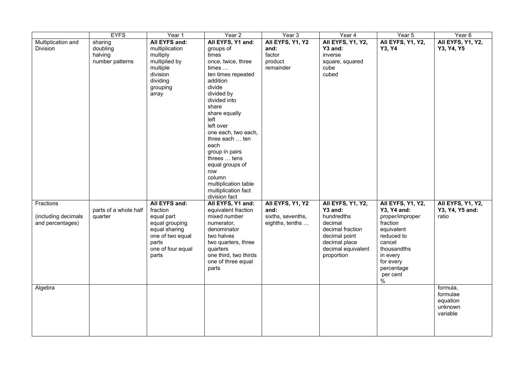|                     | <b>EYFS</b>           | Year 1            | Year <sub>2</sub>     | Year 3            | Year 4                   | Year 5            | Year 6                   |
|---------------------|-----------------------|-------------------|-----------------------|-------------------|--------------------------|-------------------|--------------------------|
| Multiplication and  | sharing               | All EYFS and:     | All EYFS, Y1 and:     | All EYFS, Y1, Y2  | All EYFS, Y1, Y2,        | All EYFS, Y1, Y2, | All EYFS, Y1, Y2,        |
| <b>Division</b>     | doubling              | multiplication    | groups of             | and:              | Y3 and:                  | Y3, Y4            | Y3, Y4, Y5               |
|                     | halving               | multiply          | times                 | factor            | inverse                  |                   |                          |
|                     | number patterns       | multiplied by     | once, twice, three    | product           | square, squared          |                   |                          |
|                     |                       | multiple          | times                 | remainder         | cube                     |                   |                          |
|                     |                       | division          | ten times repeated    |                   | cubed                    |                   |                          |
|                     |                       | dividing          | addition              |                   |                          |                   |                          |
|                     |                       | grouping          | divide                |                   |                          |                   |                          |
|                     |                       | array             | divided by            |                   |                          |                   |                          |
|                     |                       |                   | divided into          |                   |                          |                   |                          |
|                     |                       |                   | share                 |                   |                          |                   |                          |
|                     |                       |                   | share equally         |                   |                          |                   |                          |
|                     |                       |                   | left<br>left over     |                   |                          |                   |                          |
|                     |                       |                   | one each, two each,   |                   |                          |                   |                          |
|                     |                       |                   | three each  ten       |                   |                          |                   |                          |
|                     |                       |                   | each                  |                   |                          |                   |                          |
|                     |                       |                   | group in pairs        |                   |                          |                   |                          |
|                     |                       |                   | threes  tens          |                   |                          |                   |                          |
|                     |                       |                   | equal groups of       |                   |                          |                   |                          |
|                     |                       |                   | row                   |                   |                          |                   |                          |
|                     |                       |                   | column                |                   |                          |                   |                          |
|                     |                       |                   | multiplication table  |                   |                          |                   |                          |
|                     |                       |                   | multiplication fact   |                   |                          |                   |                          |
|                     |                       |                   | division fact         |                   |                          |                   |                          |
| Fractions           |                       | All EYFS and:     | All EYFS, Y1 and:     | All EYFS, Y1, Y2  | <b>AII EYFS, Y1, Y2,</b> | All EYFS, Y1, Y2, | <b>AII EYFS, Y1, Y2,</b> |
|                     | parts of a whole half | fraction          | equivalent fraction   | and:              | Y3 and:                  | Y3, Y4 and:       | Y3, Y4, Y5 and:          |
| (including decimals | quarter               | equal part        | mixed number          | sixths, sevenths, | hundredths               | proper/improper   | ratio                    |
| and percentages)    |                       | equal grouping    | numerator,            | eighths, tenths   | decimal                  | fraction          |                          |
|                     |                       | equal sharing     | denominator           |                   | decimal fraction         | equivalent        |                          |
|                     |                       | one of two equal  | two halves            |                   | decimal point            | reduced to        |                          |
|                     |                       | parts             | two quarters, three   |                   | decimal place            | cancel            |                          |
|                     |                       | one of four equal | quarters              |                   | decimal equivalent       | thousandths       |                          |
|                     |                       | parts             | one third, two thirds |                   | proportion               | in every          |                          |
|                     |                       |                   | one of three equal    |                   |                          | for every         |                          |
|                     |                       |                   | parts                 |                   |                          | percentage        |                          |
|                     |                       |                   |                       |                   |                          | per cent          |                          |
|                     |                       |                   |                       |                   |                          | $\%$              |                          |
| Algebra             |                       |                   |                       |                   |                          |                   | formula,                 |
|                     |                       |                   |                       |                   |                          |                   | formulae                 |
|                     |                       |                   |                       |                   |                          |                   | equation<br>unknown      |
|                     |                       |                   |                       |                   |                          |                   | variable                 |
|                     |                       |                   |                       |                   |                          |                   |                          |
|                     |                       |                   |                       |                   |                          |                   |                          |
|                     |                       |                   |                       |                   |                          |                   |                          |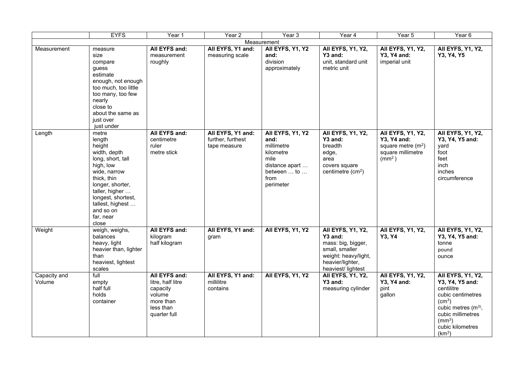|                        | <b>EYFS</b>                                                                                                                                                                                                                   | Year 1                                                                                             | Year 2                                                 | Year 3                                                                                                            | $\overline{Y}$ ear 4                                                                                                                   | Year 5                                                                                              | $\overline{Y}$ ear 6                                                                                                                                                                                                  |
|------------------------|-------------------------------------------------------------------------------------------------------------------------------------------------------------------------------------------------------------------------------|----------------------------------------------------------------------------------------------------|--------------------------------------------------------|-------------------------------------------------------------------------------------------------------------------|----------------------------------------------------------------------------------------------------------------------------------------|-----------------------------------------------------------------------------------------------------|-----------------------------------------------------------------------------------------------------------------------------------------------------------------------------------------------------------------------|
|                        |                                                                                                                                                                                                                               |                                                                                                    |                                                        | Measurement                                                                                                       |                                                                                                                                        |                                                                                                     |                                                                                                                                                                                                                       |
| Measurement            | measure<br>size<br>compare<br>guess<br>estimate<br>enough, not enough<br>too much, too little<br>too many, too few<br>nearly<br>close to<br>about the same as<br>just over<br>just under                                      | All EYFS and:<br>measurement<br>roughly                                                            | All EYFS, Y1 and:<br>measuring scale                   | All EYFS, Y1, Y2<br>and:<br>division<br>approximately                                                             | All EYFS, Y1, Y2,<br>Y3 and:<br>unit, standard unit<br>metric unit                                                                     | All EYFS, Y1, Y2,<br>Y3, Y4 and:<br>imperial unit                                                   | All EYFS, Y1, Y2,<br>Y3, Y4, Y5                                                                                                                                                                                       |
| Length                 | metre<br>length<br>height<br>width, depth<br>long, short, tall<br>high, low<br>wide, narrow<br>thick, thin<br>longer, shorter,<br>taller, higher<br>longest, shortest,<br>tallest, highest<br>and so on<br>far, near<br>close | All EYFS and:<br>centimetre<br>ruler<br>metre stick                                                | All EYFS, Y1 and:<br>further, furthest<br>tape measure | All EYFS, Y1, Y2<br>and:<br>millimetre<br>kilometre<br>mile<br>distance apart<br>between  to<br>from<br>perimeter | All EYFS, Y1, Y2,<br>Y3 and:<br>breadth<br>edge,<br>area<br>covers square<br>centimetre $(cm2)$                                        | All EYFS, Y1, Y2,<br>Y3, Y4 and:<br>square metre $(m^2)$<br>square millimetre<br>(mm <sup>2</sup> ) | All EYFS, Y1, Y2,<br>Y3, Y4, Y5 and:<br>yard<br>foot<br>feet<br>inch<br>inches<br>circumference                                                                                                                       |
| Weight                 | weigh, weighs,<br>balances<br>heavy, light<br>heavier than, lighter<br>than<br>heaviest, lightest<br>scales                                                                                                                   | All EYFS and:<br>kilogram<br>half kilogram                                                         | All EYFS, Y1 and:<br>gram                              | All EYFS, Y1, Y2                                                                                                  | All EYFS, Y1, Y2,<br>Y3 and:<br>mass: big, bigger,<br>small, smaller<br>weight: heavy/light,<br>heavier/lighter,<br>heaviest/ lightest | All EYFS, Y1, Y2,<br>Y3, Y4                                                                         | All EYFS, Y1, Y2,<br>Y3, Y4, Y5 and:<br>tonne<br>pound<br>ounce                                                                                                                                                       |
| Capacity and<br>Volume | full<br>empty<br>half full<br>holds<br>container                                                                                                                                                                              | All EYFS and:<br>litre, half litre<br>capacity<br>volume<br>more than<br>less than<br>quarter full | All EYFS, Y1 and:<br>millilitre<br>contains            | All EYFS, Y1, Y2                                                                                                  | All EYFS, Y1, Y2,<br>Y3 and:<br>measuring cylinder                                                                                     | <b>AII EYFS, Y1, Y2,</b><br>Y3, Y4 and:<br>pint<br>gallon                                           | All EYFS, Y1, Y2,<br>Y3, Y4, Y5 and:<br>centilitre<br>cubic centimetres<br>(cm <sup>3</sup> )<br>cubic metres (m <sup>3)</sup> ,<br>cubic millimetres<br>(mm <sup>3</sup> )<br>cubic kilometres<br>(km <sup>3</sup> ) |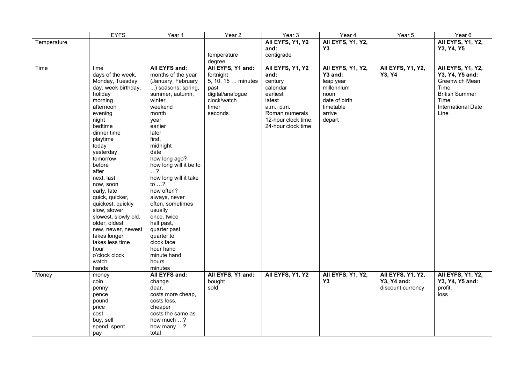|             | <b>EYFS</b>          | Year 1                 | Year <sub>2</sub>  | Year 3              | Year 4                   | Year 5                   | Year 6                    |
|-------------|----------------------|------------------------|--------------------|---------------------|--------------------------|--------------------------|---------------------------|
| Temperature |                      |                        |                    | All EYFS, Y1, Y2    | <b>AII EYFS, Y1, Y2,</b> |                          | All EYFS, Y1, Y2,         |
|             |                      |                        |                    | and:                | Y3                       |                          | Y3, Y4, Y5                |
|             |                      |                        | temperature        | centigrade          |                          |                          |                           |
|             |                      |                        | degree             |                     |                          |                          |                           |
| Time        | time                 | All EYFS and:          | All EYFS, Y1 and:  | All EYFS, Y1, Y2    | All EYFS, Y1, Y2,        | <b>AII EYFS, Y1, Y2,</b> | <b>AII EYFS, Y1, Y2,</b>  |
|             | days of the week,    | months of the year     | fortnight          | and:                | Y3 and:                  | Y3, Y4                   | Y3, Y4, Y5 and:           |
|             | Monday, Tuesday      | (January, February     | 5, 10, 15  minutes | century             | leap year                |                          | <b>Greenwich Mean</b>     |
|             | day, week birthday,  | ) seasons: spring,     | past               | calendar            | millennium               |                          | Time                      |
|             | holiday              | summer, autumn,        | digital/analogue   | earliest            | noon                     |                          | <b>British Summer</b>     |
|             | morning              | winter                 | clock/watch        | latest              | date of birth            |                          | Time                      |
|             | afternoon            | weekend                | timer              | a.m., p.m.          | timetable                |                          | <b>International Date</b> |
|             | evening              | month                  | seconds            | Roman numerals      | arrive                   |                          | Line                      |
|             | night                | year                   |                    | 12-hour clock time, | depart                   |                          |                           |
|             | bedtime              | earlier                |                    | 24-hour clock time  |                          |                          |                           |
|             | dinner time          | later                  |                    |                     |                          |                          |                           |
|             | playtime             | first,                 |                    |                     |                          |                          |                           |
|             | today                | midnight               |                    |                     |                          |                          |                           |
|             | yesterday            | date                   |                    |                     |                          |                          |                           |
|             | tomorrow             | how long ago?          |                    |                     |                          |                          |                           |
|             | before               | how long will it be to |                    |                     |                          |                          |                           |
|             | after                | $\ldots$ ?             |                    |                     |                          |                          |                           |
|             | next, last           | how long will it take  |                    |                     |                          |                          |                           |
|             | now, soon            | to $\ldots$ ?          |                    |                     |                          |                          |                           |
|             | early, late          | how often?             |                    |                     |                          |                          |                           |
|             | quick, quicker,      | always, never          |                    |                     |                          |                          |                           |
|             | quickest, quickly    | often, sometimes       |                    |                     |                          |                          |                           |
|             | slow, slower,        | usually                |                    |                     |                          |                          |                           |
|             | slowest, slowly old, | once, twice            |                    |                     |                          |                          |                           |
|             | older, oldest        | half past,             |                    |                     |                          |                          |                           |
|             | new, newer, newest   | quarter past,          |                    |                     |                          |                          |                           |
|             | takes longer         | quarter to             |                    |                     |                          |                          |                           |
|             | takes less time      | clock face             |                    |                     |                          |                          |                           |
|             | hour                 | hour hand              |                    |                     |                          |                          |                           |
|             | o'clock clock        | minute hand            |                    |                     |                          |                          |                           |
|             | watch                | hours                  |                    |                     |                          |                          |                           |
|             | hands                | minutes                |                    |                     |                          |                          |                           |
| Money       | money                | All EYFS and:          | All EYFS, Y1 and:  | All EYFS, Y1, Y2    | All EYFS, Y1, Y2,        | <b>AII EYFS, Y1, Y2,</b> | <b>AII EYFS, Y1, Y2,</b>  |
|             | coin                 | change                 | bought             |                     | Y <sub>3</sub>           | Y3, Y4 and:              | Y3, Y4, Y5 and:           |
|             | penny                | dear,                  | sold               |                     |                          | discount currency        | profit,                   |
|             | pence                | costs more cheap,      |                    |                     |                          |                          | loss                      |
|             | pound                | costs less,            |                    |                     |                          |                          |                           |
|             | price                | cheaper                |                    |                     |                          |                          |                           |
|             | cost                 | costs the same as      |                    |                     |                          |                          |                           |
|             | buy, sell            | how much ?             |                    |                     |                          |                          |                           |
|             | spend, spent         | how many ?             |                    |                     |                          |                          |                           |
|             | pay                  | total                  |                    |                     |                          |                          |                           |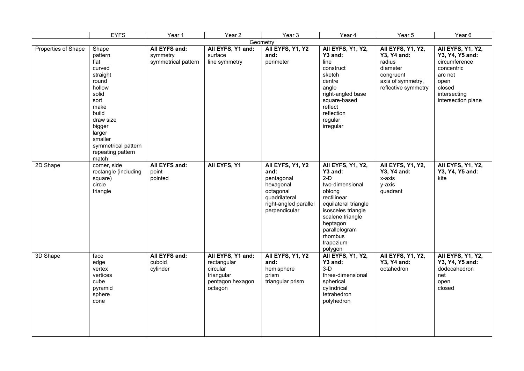|                     | <b>EYFS</b>                                                                                                                                                                                          | Year 1                                           | Year 2                                                                                    | $\overline{Y}$ ear 3                                                                                                        | $\overline{Y}$ ear 4                                                                                                                                                                                                | Year 5                                                                                                                 | Year 6                                                                                                                                        |  |  |  |
|---------------------|------------------------------------------------------------------------------------------------------------------------------------------------------------------------------------------------------|--------------------------------------------------|-------------------------------------------------------------------------------------------|-----------------------------------------------------------------------------------------------------------------------------|---------------------------------------------------------------------------------------------------------------------------------------------------------------------------------------------------------------------|------------------------------------------------------------------------------------------------------------------------|-----------------------------------------------------------------------------------------------------------------------------------------------|--|--|--|
|                     | Geometry                                                                                                                                                                                             |                                                  |                                                                                           |                                                                                                                             |                                                                                                                                                                                                                     |                                                                                                                        |                                                                                                                                               |  |  |  |
| Properties of Shape | Shape<br>pattern<br>flat<br>curved<br>straight<br>round<br>hollow<br>solid<br>sort<br>make<br>build<br>draw size<br>bigger<br>larger<br>smaller<br>symmetrical pattern<br>repeating pattern<br>match | All EYFS and:<br>symmetry<br>symmetrical pattern | All EYFS, Y1 and:<br>surface<br>line symmetry                                             | All EYFS, Y1, Y2<br>and:<br>perimeter                                                                                       | All EYFS, Y1, Y2,<br>Y3 and:<br>line<br>construct<br>sketch<br>centre<br>angle<br>right-angled base<br>square-based<br>reflect<br>reflection<br>regular<br>irregular                                                | All EYFS, Y1, Y2,<br><b>Y3, Y4 and:</b><br>radius<br>diameter<br>congruent<br>axis of symmetry,<br>reflective symmetry | <b>AII EYFS, Y1, Y2,</b><br>Y3, Y4, Y5 and:<br>circumference<br>concentric<br>arc net<br>open<br>closed<br>intersecting<br>intersection plane |  |  |  |
| 2D Shape            | corner, side<br>rectangle (including<br>square)<br>circle<br>triangle                                                                                                                                | All EYFS and:<br>point<br>pointed                | All EYFS, Y1                                                                              | All EYFS, Y1, Y2<br>and:<br>pentagonal<br>hexagonal<br>octagonal<br>quadrilateral<br>right-angled parallel<br>perpendicular | All EYFS, Y1, Y2,<br>Y3 and:<br>$2-D$<br>two-dimensional<br>oblong<br>rectilinear<br>equilateral triangle<br>isosceles triangle<br>scalene triangle<br>heptagon<br>parallelogram<br>rhombus<br>trapezium<br>polygon | All EYFS, Y1, Y2,<br>Y3, Y4 and:<br>x-axis<br>y-axis<br>quadrant                                                       | All EYFS, Y1, Y2,<br>Y3, Y4, Y5 and:<br>kite                                                                                                  |  |  |  |
| 3D Shape            | face<br>edge<br>vertex<br>vertices<br>cube<br>pyramid<br>sphere<br>cone                                                                                                                              | All EYFS and:<br>cuboid<br>cylinder              | All EYFS, Y1 and:<br>rectangular<br>circular<br>triangular<br>pentagon hexagon<br>octagon | All EYFS, Y1, Y2<br>and:<br>hemisphere<br>prism<br>triangular prism                                                         | All EYFS, Y1, Y2,<br>Y3 and:<br>$3-D$<br>three-dimensional<br>spherical<br>cylindrical<br>tetrahedron<br>polyhedron                                                                                                 | All EYFS, Y1, Y2,<br>Y3, Y4 and:<br>octahedron                                                                         | <b>AII EYFS, Y1, Y2,</b><br>Y3, Y4, Y5 and:<br>dodecahedron<br>net<br>open<br>closed                                                          |  |  |  |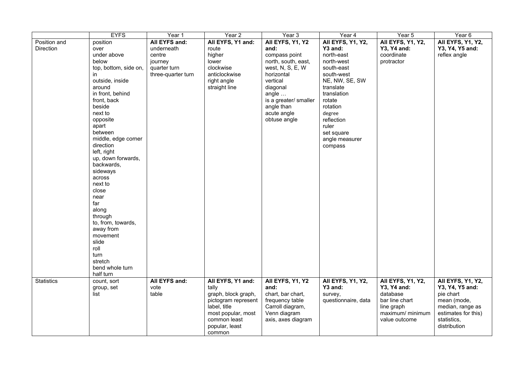|                   | <b>EYFS</b>           | Year 1             | Year <sub>2</sub>   | Year 3                | Year 4              | Year 5            | $\overline{Year}$ 6 |
|-------------------|-----------------------|--------------------|---------------------|-----------------------|---------------------|-------------------|---------------------|
| Position and      | position              | All EYFS and:      | All EYFS, Y1 and:   | All EYFS, Y1, Y2      | All EYFS, Y1, Y2,   | All EYFS, Y1, Y2, | All EYFS, Y1, Y2,   |
| <b>Direction</b>  | over                  | underneath         | route               | and:                  | Y3 and:             | Y3, Y4 and:       | Y3, Y4, Y5 and:     |
|                   | under above           | centre             | higher              | compass point         | north-east          | coordinate        | reflex angle        |
|                   | below                 | journey            | lower               | north, south, east,   | north-west          | protractor        |                     |
|                   | top, bottom, side on, | quarter turn       | clockwise           | west, N, S, E, W      | south-east          |                   |                     |
|                   | in                    | three-quarter turn | anticlockwise       | horizontal            | south-west          |                   |                     |
|                   | outside, inside       |                    | right angle         | vertical              | NE, NW, SE, SW      |                   |                     |
|                   | around                |                    | straight line       | diagonal              | translate           |                   |                     |
|                   | in front, behind      |                    |                     | angle                 | translation         |                   |                     |
|                   | front, back           |                    |                     | is a greater/ smaller | rotate              |                   |                     |
|                   | beside                |                    |                     | angle than            | rotation            |                   |                     |
|                   | next to               |                    |                     | acute angle           | degree              |                   |                     |
|                   | opposite              |                    |                     | obtuse angle          | reflection          |                   |                     |
|                   | apart                 |                    |                     |                       | ruler               |                   |                     |
|                   | between               |                    |                     |                       | set square          |                   |                     |
|                   | middle, edge corner   |                    |                     |                       | angle measurer      |                   |                     |
|                   | direction             |                    |                     |                       | compass             |                   |                     |
|                   | left, right           |                    |                     |                       |                     |                   |                     |
|                   | up, down forwards,    |                    |                     |                       |                     |                   |                     |
|                   | backwards,            |                    |                     |                       |                     |                   |                     |
|                   | sideways              |                    |                     |                       |                     |                   |                     |
|                   | across                |                    |                     |                       |                     |                   |                     |
|                   | next to               |                    |                     |                       |                     |                   |                     |
|                   | close                 |                    |                     |                       |                     |                   |                     |
|                   | near                  |                    |                     |                       |                     |                   |                     |
|                   | far                   |                    |                     |                       |                     |                   |                     |
|                   | along                 |                    |                     |                       |                     |                   |                     |
|                   | through               |                    |                     |                       |                     |                   |                     |
|                   | to, from, towards,    |                    |                     |                       |                     |                   |                     |
|                   | away from             |                    |                     |                       |                     |                   |                     |
|                   | movement              |                    |                     |                       |                     |                   |                     |
|                   | slide                 |                    |                     |                       |                     |                   |                     |
|                   | roll                  |                    |                     |                       |                     |                   |                     |
|                   | turn                  |                    |                     |                       |                     |                   |                     |
|                   | stretch               |                    |                     |                       |                     |                   |                     |
|                   | bend whole turn       |                    |                     |                       |                     |                   |                     |
|                   | half turn             |                    |                     |                       |                     |                   |                     |
| <b>Statistics</b> | count, sort           | All EYFS and:      | All EYFS, Y1 and:   | All EYFS, Y1, Y2      | All EYFS, Y1, Y2,   | All EYFS, Y1, Y2, | All EYFS, Y1, Y2,   |
|                   | group, set            | vote               | tally               | and:                  | Y3 and:             | Y3, Y4 and:       | Y3, Y4, Y5 and:     |
|                   | list                  | table              | graph, block graph, | chart, bar chart,     | survey,             | database          | pie chart           |
|                   |                       |                    | pictogram represent | frequency table       | questionnaire, data | bar line chart    | mean (mode,         |
|                   |                       |                    | label, title        | Carroll diagram,      |                     | line graph        | median, range as    |
|                   |                       |                    | most popular, most  | Venn diagram          |                     | maximum/ minimum  | estimates for this) |
|                   |                       |                    | common least        | axis, axes diagram    |                     | value outcome     | statistics,         |
|                   |                       |                    | popular, least      |                       |                     |                   | distribution        |
|                   |                       |                    | common              |                       |                     |                   |                     |